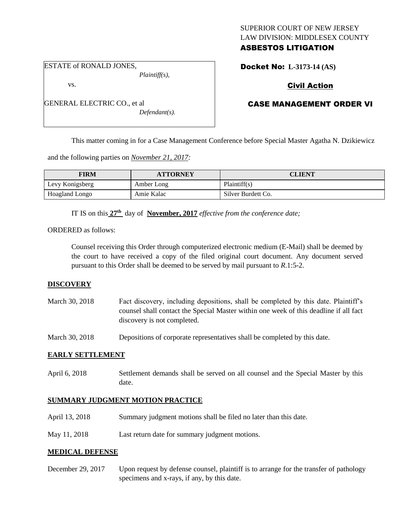### SUPERIOR COURT OF NEW JERSEY LAW DIVISION: MIDDLESEX COUNTY ASBESTOS LITIGATION

ESTATE of RONALD JONES,

vs.

*Plaintiff(s),*

GENERAL ELECTRIC CO., et al

*Defendant(s).*

# Docket No: **L-3173-14 (AS)**

# Civil Action

# CASE MANAGEMENT ORDER VI

This matter coming in for a Case Management Conference before Special Master Agatha N. Dzikiewicz

and the following parties on *November 21, 2017:*

| <b>FIRM</b>     | <b>ATTORNEY</b> | CLIENT             |
|-----------------|-----------------|--------------------|
| Levy Konigsberg | Amber Long      | Plaintiff(s)       |
| Hoagland Longo  | Amie Kalac      | Silver Burdett Co. |

IT IS on this **27th** day of **November, 2017** *effective from the conference date;*

ORDERED as follows:

Counsel receiving this Order through computerized electronic medium (E-Mail) shall be deemed by the court to have received a copy of the filed original court document. Any document served pursuant to this Order shall be deemed to be served by mail pursuant to *R*.1:5-2.

### **DISCOVERY**

| March 30, 2018 | Fact discovery, including depositions, shall be completed by this date. Plaintiff's   |
|----------------|---------------------------------------------------------------------------------------|
|                | counsel shall contact the Special Master within one week of this deadline if all fact |
|                | discovery is not completed.                                                           |

March 30, 2018 Depositions of corporate representatives shall be completed by this date.

### **EARLY SETTLEMENT**

April 6, 2018 Settlement demands shall be served on all counsel and the Special Master by this date.

### **SUMMARY JUDGMENT MOTION PRACTICE**

- April 13, 2018 Summary judgment motions shall be filed no later than this date.
- May 11, 2018 Last return date for summary judgment motions.

### **MEDICAL DEFENSE**

December 29, 2017 Upon request by defense counsel, plaintiff is to arrange for the transfer of pathology specimens and x-rays, if any, by this date.